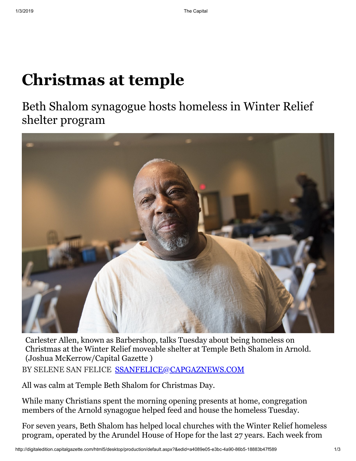## **Christmas at temple**

Beth Shalom synagogue hosts homeless in Winter Relief shelter program



BY SELENE SAN FELICE [SSANFELICE@CAPGAZNEWS.COM](mailto:ssanfelice@capgaznews.com) Carlester Allen, known as Barbershop, talks Tuesday about being homeless on Christmas at the Winter Relief moveable shelter at Temple Beth Shalom in Arnold. (Joshua McKerrow/Capital Gazette )

All was calm at Temple Beth Shalom for Christmas Day.

While many Christians spent the morning opening presents at home, congregation members of the Arnold synagogue helped feed and house the homeless Tuesday.

For seven years, Beth Shalom has helped local churches with the Winter Relief homeless program, operated by the Arundel House of Hope for the last 27 years. Each week from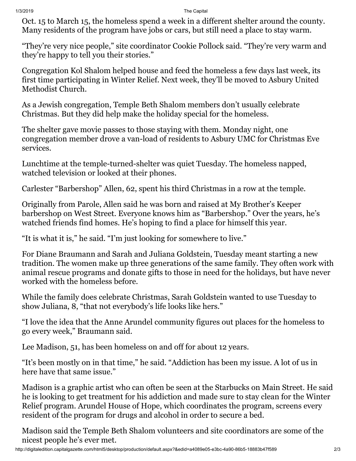Oct. 15 to March 15, the homeless spend a week in a different shelter around the county. Many residents of the program have jobs or cars, but still need a place to stay warm.

"They're very nice people," site coordinator Cookie Pollock said. "They're very warm and they're happy to tell you their stories."

Congregation Kol Shalom helped house and feed the homeless a few days last week, its first time participating in Winter Relief. Next week, they'll be moved to Asbury United Methodist Church.

As a Jewish congregation, Temple Beth Shalom members don't usually celebrate Christmas. But they did help make the holiday special for the homeless.

The shelter gave movie passes to those staying with them. Monday night, one congregation member drove a van-load of residents to Asbury UMC for Christmas Eve services.

Lunchtime at the temple-turned-shelter was quiet Tuesday. The homeless napped, watched television or looked at their phones.

Carlester "Barbershop" Allen, 62, spent his third Christmas in a row at the temple.

Originally from Parole, Allen said he was born and raised at My Brother's Keeper barbershop on West Street. Everyone knows him as "Barbershop." Over the years, he's watched friends find homes. He's hoping to find a place for himself this year.

"It is what it is," he said. "I'm just looking for somewhere to live."

For Diane Braumann and Sarah and Juliana Goldstein, Tuesday meant starting a new tradition. The women make up three generations of the same family. They often work with animal rescue programs and donate gifts to those in need for the holidays, but have never worked with the homeless before.

While the family does celebrate Christmas, Sarah Goldstein wanted to use Tuesday to show Juliana, 8, "that not everybody's life looks like hers."

"I love the idea that the Anne Arundel community figures out places for the homeless to go every week," Braumann said.

Lee Madison, 51, has been homeless on and off for about 12 years.

"It's been mostly on in that time," he said. "Addiction has been my issue. A lot of us in here have that same issue."

Madison is a graphic artist who can often be seen at the Starbucks on Main Street. He said he is looking to get treatment for his addiction and made sure to stay clean for the Winter Relief program. Arundel House of Hope, which coordinates the program, screens every resident of the program for drugs and alcohol in order to secure a bed.

Madison said the Temple Beth Shalom volunteers and site coordinators are some of the nicest people he's ever met.